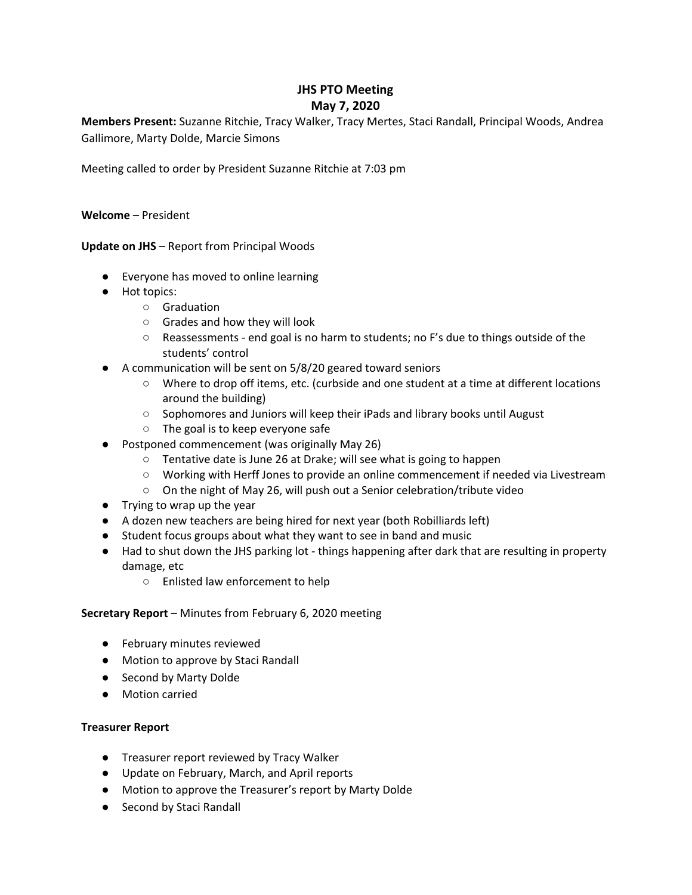# **JHS PTO Meeting May 7, 2020**

**Members Present:** Suzanne Ritchie, Tracy Walker, Tracy Mertes, Staci Randall, Principal Woods, Andrea Gallimore, Marty Dolde, Marcie Simons

Meeting called to order by President Suzanne Ritchie at 7:03 pm

**Welcome** – President

**Update on JHS** – Report from Principal Woods

- Everyone has moved to online learning
- Hot topics:
	- Graduation
	- Grades and how they will look
	- Reassessments end goal is no harm to students; no F's due to things outside of the students' control
- A communication will be sent on 5/8/20 geared toward seniors
	- Where to drop off items, etc. (curbside and one student at a time at different locations around the building)
	- Sophomores and Juniors will keep their iPads and library books until August
	- The goal is to keep everyone safe
- Postponed commencement (was originally May 26)
	- Tentative date is June 26 at Drake; will see what is going to happen
	- Working with Herff Jones to provide an online commencement if needed via Livestream
	- On the night of May 26, will push out a Senior celebration/tribute video
- Trying to wrap up the year
- A dozen new teachers are being hired for next year (both Robilliards left)
- Student focus groups about what they want to see in band and music
- Had to shut down the JHS parking lot things happening after dark that are resulting in property damage, etc
	- Enlisted law enforcement to help

# **Secretary Report** – Minutes from February 6, 2020 meeting

- February minutes reviewed
- Motion to approve by Staci Randall
- Second by Marty Dolde
- Motion carried

# **Treasurer Report**

- Treasurer report reviewed by Tracy Walker
- Update on February, March, and April reports
- Motion to approve the Treasurer's report by Marty Dolde
- Second by Staci Randall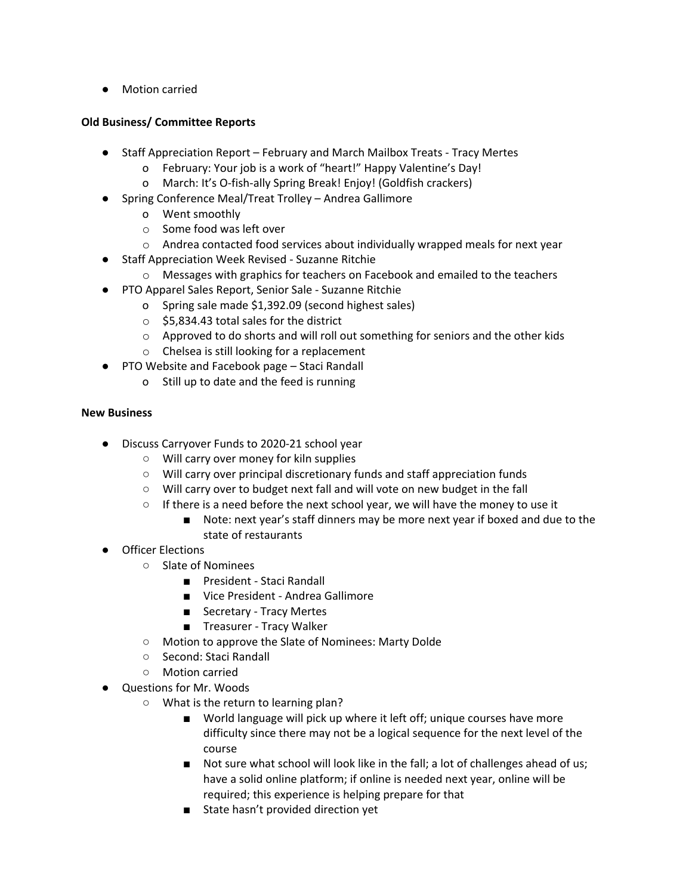● Motion carried

# **Old Business/ Committee Reports**

- **●** Staff Appreciation Report February and March Mailbox Treats Tracy Mertes
	- o February: Your job is a work of "heart!" Happy Valentine's Day!
	- o March: It's O-fish-ally Spring Break! Enjoy! (Goldfish crackers)
- **●** Spring Conference Meal/Treat Trolley Andrea Gallimore
	- o Went smoothly
	- o Some food was left over
	- $\circ$  Andrea contacted food services about individually wrapped meals for next year
- **●** Staff Appreciation Week Revised Suzanne Ritchie
	- o Messages with graphics for teachers on Facebook and emailed to the teachers
- **●** PTO Apparel Sales Report, Senior Sale Suzanne Ritchie
	- o Spring sale made \$1,392.09 (second highest sales)
	- $\circ$  \$5,834.43 total sales for the district
	- o Approved to do shorts and will roll out something for seniors and the other kids
	- o Chelsea is still looking for a replacement
- **●** PTO Website and Facebook page Staci Randall
	- o Still up to date and the feed is running

# **New Business**

- Discuss Carryover Funds to 2020-21 school year
	- Will carry over money for kiln supplies
	- Will carry over principal discretionary funds and staff appreciation funds
	- Will carry over to budget next fall and will vote on new budget in the fall
	- $\circ$  If there is a need before the next school year, we will have the money to use it
		- Note: next year's staff dinners may be more next year if boxed and due to the state of restaurants
- Officer Elections
	- Slate of Nominees
		- President Staci Randall
		- Vice President Andrea Gallimore
		- Secretary Tracy Mertes
		- Treasurer Tracy Walker
	- Motion to approve the Slate of Nominees: Marty Dolde
	- Second: Staci Randall
	- Motion carried
	- Questions for Mr. Woods
		- What is the return to learning plan?
			- World language will pick up where it left off; unique courses have more difficulty since there may not be a logical sequence for the next level of the course
			- Not sure what school will look like in the fall; a lot of challenges ahead of us; have a solid online platform; if online is needed next year, online will be required; this experience is helping prepare for that
			- State hasn't provided direction yet